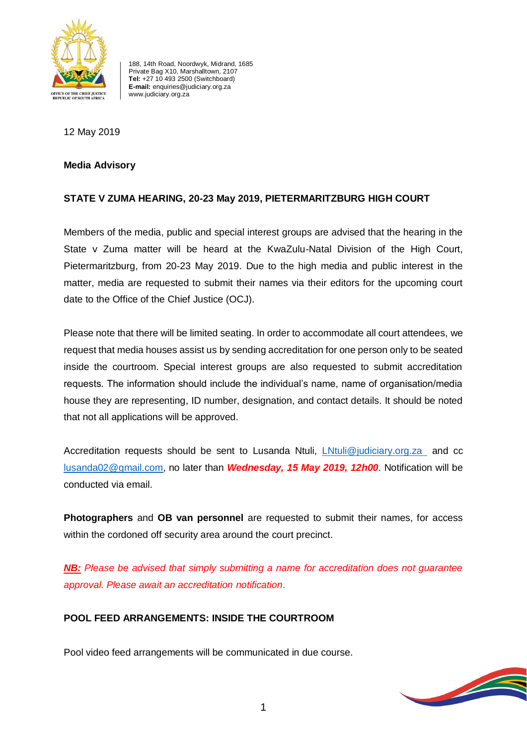

188, 14th Road, Noordwyk, Midrand, 1685 Private Bag X10, Marshalltown, 2107 **Tel:** +27 10 493 2500 (Switchboard) **E-mail:** enquiries@judiciary.org.za www.judiciary.org.za

## 12 May 2019

#### **Media Advisory**

# **STATE V ZUMA HEARING, 20-23 May 2019, PIETERMARITZBURG HIGH COURT**

Members of the media, public and special interest groups are advised that the hearing in the State v Zuma matter will be heard at the KwaZulu-Natal Division of the High Court, Pietermaritzburg, from 20-23 May 2019. Due to the high media and public interest in the matter, media are requested to submit their names via their editors for the upcoming court date to the Office of the Chief Justice (OCJ).

Please note that there will be limited seating. In order to accommodate all court attendees, we request that media houses assist us by sending accreditation for one person only to be seated inside the courtroom. Special interest groups are also requested to submit accreditation requests. The information should include the individual's name, name of organisation/media house they are representing, ID number, designation, and contact details. It should be noted that not all applications will be approved.

Accreditation requests should be sent to Lusanda Ntuli, [LNtuli@judiciary.org.za](mailto:LNtuli@judiciary.org.za) and cc [lusanda02@gmail.com,](mailto:lusanda02@gmail.com) no later than *Wednesday, 15 May 2019, 12h00*. Notification will be conducted via email.

**Photographers** and **OB van personnel** are requested to submit their names, for access within the cordoned off security area around the court precinct.

*NB: Please be advised that simply submitting a name for accreditation does not guarantee approval. Please await an accreditation notification*.

# **POOL FEED ARRANGEMENTS: INSIDE THE COURTROOM**

Pool video feed arrangements will be communicated in due course.